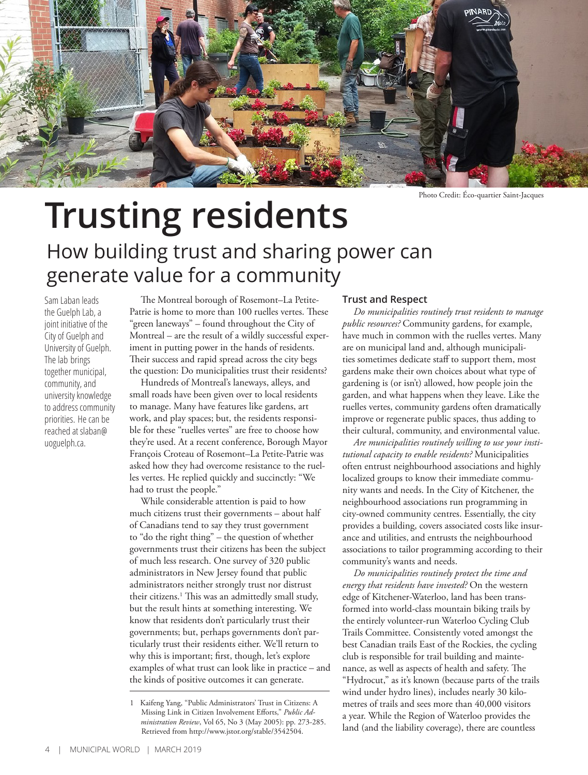

Photo Credit: Éco-quartier Saint-Jacques

## **Trusting residents**

## How building trust and sharing power can generate value for a community

Sam Laban leads the Guelph Lab, a joint initiative of the City of Guelph and University of Guelph. The lab brings together municipal, community, and university knowledge to address community priorities. He can be reached at slaban@ uoguelph.ca.

The Montreal borough of Rosemont–La Petite-Patrie is home to more than 100 ruelles vertes. These "green laneways" – found throughout the City of Montreal – are the result of a wildly successful experiment in putting power in the hands of residents. Their success and rapid spread across the city begs the question: Do municipalities trust their residents?

Hundreds of Montreal's laneways, alleys, and small roads have been given over to local residents to manage. Many have features like gardens, art work, and play spaces; but, the residents responsible for these "ruelles vertes" are free to choose how they're used. At a recent conference, Borough Mayor François Croteau of Rosemont–La Petite-Patrie was asked how they had overcome resistance to the ruelles vertes. He replied quickly and succinctly: "We had to trust the people."

While considerable attention is paid to how much citizens trust their governments – about half of Canadians tend to say they trust government to "do the right thing" – the question of whether governments trust their citizens has been the subject of much less research. One survey of 320 public administrators in New Jersey found that public administrators neither strongly trust nor distrust their citizens.1 This was an admittedly small study, but the result hints at something interesting. We know that residents don't particularly trust their governments; but, perhaps governments don't particularly trust their residents either. We'll return to why this is important; first, though, let's explore examples of what trust can look like in practice – and the kinds of positive outcomes it can generate.

## **Trust and Respect**

*Do municipalities routinely trust residents to manage public resources?* Community gardens, for example, have much in common with the ruelles vertes. Many are on municipal land and, although municipalities sometimes dedicate staff to support them, most gardens make their own choices about what type of gardening is (or isn't) allowed, how people join the garden, and what happens when they leave. Like the ruelles vertes, community gardens often dramatically improve or regenerate public spaces, thus adding to their cultural, community, and environmental value.

*Are municipalities routinely willing to use your institutional capacity to enable residents?* Municipalities often entrust neighbourhood associations and highly localized groups to know their immediate community wants and needs. In the City of Kitchener, the neighbourhood associations run programming in city-owned community centres. Essentially, the city provides a building, covers associated costs like insurance and utilities, and entrusts the neighbourhood associations to tailor programming according to their community's wants and needs.

*Do municipalities routinely protect the time and energy that residents have invested?* On the western edge of Kitchener-Waterloo, land has been transformed into world-class mountain biking trails by the entirely volunteer-run Waterloo Cycling Club Trails Committee. Consistently voted amongst the best Canadian trails East of the Rockies, the cycling club is responsible for trail building and maintenance, as well as aspects of health and safety. The "Hydrocut," as it's known (because parts of the trails wind under hydro lines), includes nearly 30 kilometres of trails and sees more than 40,000 visitors a year. While the Region of Waterloo provides the land (and the liability coverage), there are countless

<sup>1</sup> Kaifeng Yang, "Public Administrators' Trust in Citizens: A Missing Link in Citizen Involvement Efforts," *Public Administration Review*, Vol 65, No 3 (May 2005): pp. 273-285. Retrieved from http://www.jstor.org/stable/3542504.